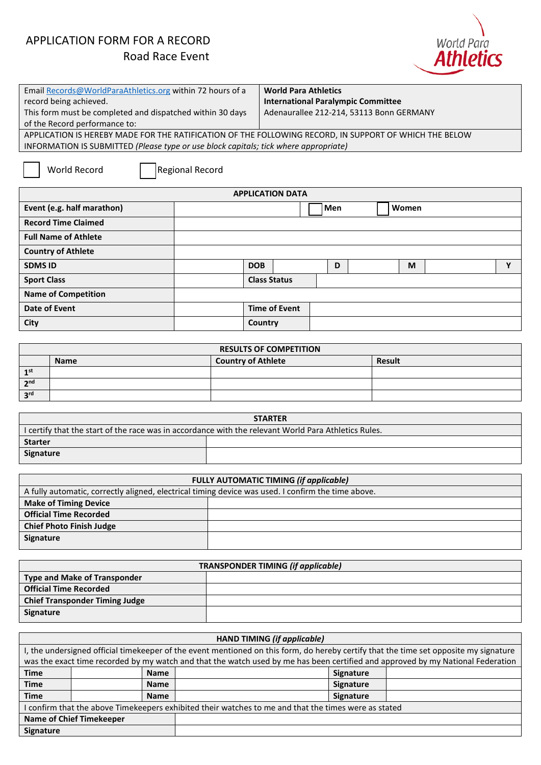# APPLICATION FORM FOR A RECORD



| Email Records@WorldParaAthletics.org within 72 hours of a                                              | <b>World Para Athletics</b>               |  |
|--------------------------------------------------------------------------------------------------------|-------------------------------------------|--|
| record being achieved.                                                                                 | <b>International Paralympic Committee</b> |  |
| This form must be completed and dispatched within 30 days                                              | Adenaurallee 212-214, 53113 Bonn GERMANY  |  |
| of the Record performance to:                                                                          |                                           |  |
| APPLICATION IS HEREBY MADE FOR THE RATIFICATION OF THE FOLLOWING RECORD, IN SUPPORT OF WHICH THE BELOW |                                           |  |
| $\mathbf{R}$                                                                                           |                                           |  |

INFORMATION IS SUBMITTED *(Please type or use block capitals; tick where appropriate)*

**World Record □ Regional Record** 

| <b>APPLICATION DATA</b>     |                     |                      |  |     |       |  |             |
|-----------------------------|---------------------|----------------------|--|-----|-------|--|-------------|
| Event (e.g. half marathon)  |                     |                      |  | Men | Women |  |             |
| <b>Record Time Claimed</b>  |                     |                      |  |     |       |  |             |
| <b>Full Name of Athlete</b> |                     |                      |  |     |       |  |             |
| <b>Country of Athlete</b>   |                     |                      |  |     |       |  |             |
| <b>SDMS ID</b>              | <b>DOB</b>          |                      |  | D   | M     |  | $\mathbf v$ |
| <b>Sport Class</b>          | <b>Class Status</b> |                      |  |     |       |  |             |
| <b>Name of Competition</b>  |                     |                      |  |     |       |  |             |
| Date of Event               |                     | <b>Time of Event</b> |  |     |       |  |             |
| City                        | Country             |                      |  |     |       |  |             |

| <b>RESULTS OF COMPETITION</b> |             |                           |               |  |
|-------------------------------|-------------|---------------------------|---------------|--|
|                               | <b>Name</b> | <b>Country of Athlete</b> | <b>Result</b> |  |
| 1 <sup>st</sup>               |             |                           |               |  |
| 2 <sup>nd</sup>               |             |                           |               |  |
| 3 <sup>rd</sup>               |             |                           |               |  |

| <b>STARTER</b>                                                                                       |  |  |  |
|------------------------------------------------------------------------------------------------------|--|--|--|
| I certify that the start of the race was in accordance with the relevant World Para Athletics Rules. |  |  |  |
| <b>Starter</b>                                                                                       |  |  |  |
| Signature                                                                                            |  |  |  |

| <b>FULLY AUTOMATIC TIMING (if applicable)</b>                                                      |  |  |  |
|----------------------------------------------------------------------------------------------------|--|--|--|
| A fully automatic, correctly aligned, electrical timing device was used. I confirm the time above. |  |  |  |
| <b>Make of Timing Device</b>                                                                       |  |  |  |
| <b>Official Time Recorded</b>                                                                      |  |  |  |
| <b>Chief Photo Finish Judge</b>                                                                    |  |  |  |
| <b>Signature</b>                                                                                   |  |  |  |
|                                                                                                    |  |  |  |

| <b>TRANSPONDER TIMING (if applicable)</b> |  |  |
|-------------------------------------------|--|--|
| <b>Type and Make of Transponder</b>       |  |  |
| <b>Official Time Recorded</b>             |  |  |
| <b>Chief Transponder Timing Judge</b>     |  |  |
| Signature                                 |  |  |

|                                                                                                      | <b>HAND TIMING (if applicable)</b>                                                                                                    |  |                                                                                                                                 |  |  |  |
|------------------------------------------------------------------------------------------------------|---------------------------------------------------------------------------------------------------------------------------------------|--|---------------------------------------------------------------------------------------------------------------------------------|--|--|--|
|                                                                                                      | I, the undersigned official timekeeper of the event mentioned on this form, do hereby certify that the time set opposite my signature |  |                                                                                                                                 |  |  |  |
|                                                                                                      |                                                                                                                                       |  | was the exact time recorded by my watch and that the watch used by me has been certified and approved by my National Federation |  |  |  |
| <b>Time</b>                                                                                          | <b>Name</b>                                                                                                                           |  | <b>Signature</b>                                                                                                                |  |  |  |
| <b>Time</b>                                                                                          | <b>Name</b>                                                                                                                           |  | Signature                                                                                                                       |  |  |  |
| <b>Time</b>                                                                                          | <b>Name</b>                                                                                                                           |  | <b>Signature</b>                                                                                                                |  |  |  |
| I confirm that the above Timekeepers exhibited their watches to me and that the times were as stated |                                                                                                                                       |  |                                                                                                                                 |  |  |  |
|                                                                                                      | <b>Name of Chief Timekeeper</b>                                                                                                       |  |                                                                                                                                 |  |  |  |
| <b>Signature</b>                                                                                     |                                                                                                                                       |  |                                                                                                                                 |  |  |  |